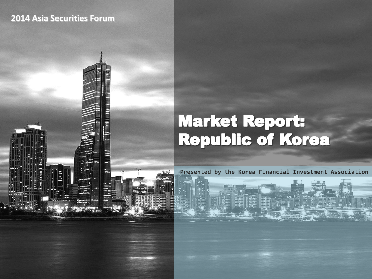### **2014 Asia Securities Forum**



# **Market Report:<br>Republic of Korea**

Korea Financial Investment Association and Association and Association and Association and Association and Ass

**Presented by the Korea Financial Investment Association**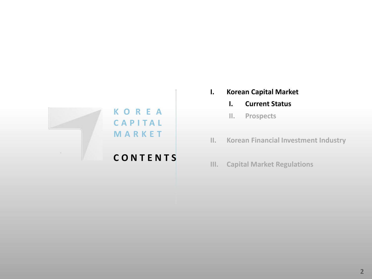

## **C O N T E N T S**

- **I. Korean Capital Market**
	- **I. Current Status**
	- **II. Prospects**
- **II. Korean Financial Investment Industry**
- **III. Capital Market Regulations**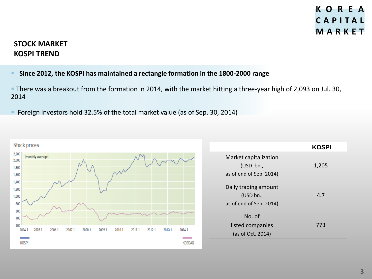**KOSPI**

#### **STOCK MARKET KOSPI TREND**

#### **Since 2012, the KOSPI has maintained a rectangle formation in the 1800-2000 range**

 There was a breakout from the formation in 2014, with the market hitting a three-year high of 2,093 on Jul. 30, 2014

**F** Foreign investors hold 32.5% of the total market value (as of Sep. 30, 2014)



|                                                              | ו וטשו |
|--------------------------------------------------------------|--------|
| Market capitalization<br>(USD bn.<br>as of end of Sep. 2014) | 1,205  |
| Daily trading amount<br>(USD bn.,<br>as of end of Sep. 2014) | 4.7    |
| No. of<br>listed companies<br>(as of Oct. 2014)              | 773    |
|                                                              |        |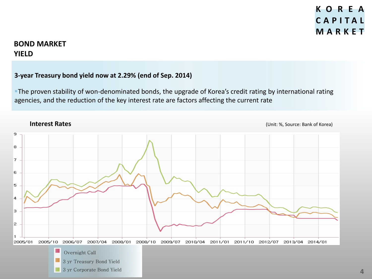#### **BOND MARKET YIELD**

#### **3-year Treasury bond yield now at 2.29% (end of Sep. 2014)**

The proven stability of won-denominated bonds, the upgrade of Korea's credit rating by international rating agencies, and the reduction of the key interest rate are factors affecting the current rate

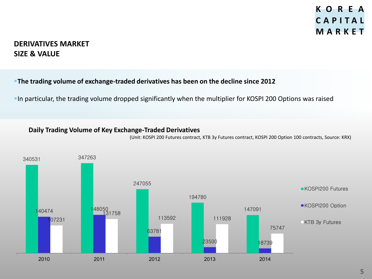#### **DERIVATIVES MARKET SIZE & VALUE**

#### **The trading volume of exchange-traded derivatives has been on the decline since 2012**

In particular, the trading volume dropped significantly when the multiplier for KOSPI 200 Options was raised

#### **Daily Trading Volume of Key Exchange-Traded Derivatives**

(Unit: KOSPI 200 Futures contract, KTB 3y Futures contract, KOSPI 200 Option 100 contracts, Source: KRX)

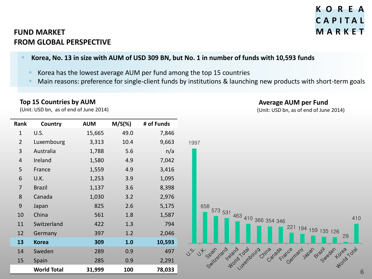## **K O R E A C A P I T A L**

**Average AUM per Fund**

(Unit: USD bn, as of end of June 2014)

## **FUND MARKET M A R K E T FROM GLOBAL PERSPECTIVE**

#### **Korea, No. 13 in size with AUM of USD 309 BN, but No. 1 in number of funds with 10,593 funds**

- Korea has the lowest average AUM per fund among the top 15 countries
- Main reasons: preference for single-client funds by institutions & launching new products with short-term goals

#### **Top 15 Countries by AUM**

(Unit: USD bn, as of end of June 2014)

| Rank           | Country            | <b>AUM</b> | $M/S(\%)$ | # of Funds |
|----------------|--------------------|------------|-----------|------------|
| $\mathbf{1}$   | U.S.               | 15,665     | 49.0      | 7,846      |
| $\overline{2}$ | Luxembourg         | 3,313      | 10.4      | 9,663      |
| $\overline{3}$ | Australia          | 1,788      | 5.6       | n/a        |
| $\overline{4}$ | Ireland            | 1,580      | 4.9       | 7,042      |
| 5              | France             | 1,559      | 4.9       | 3,416      |
| 6              | U.K.               | 1,253      | 3.9       | 1,095      |
| $\overline{7}$ | <b>Brazil</b>      | 1,137      | 3.6       | 8,398      |
| 8              | Canada             | 1,030      | 3.2       | 2,976      |
| 9              | Japan              | 825        | 2.6       | 5,175      |
| 10             | China              | 561        | 1.8       | 1,587      |
| 11             | Switzerland        | 422        | 1.3       | 794        |
| 12             | Germany            | 397        | 1.2       | 2,046      |
| 13             | <b>Korea</b>       | 309        | 1.0       | 10,593     |
| 14             | Sweden             | 289        | 0.9       | 497        |
| 15             | Spain              | 285        | 0.9       | 2,291      |
|                | <b>World Total</b> | 31,999     | 100       | 78,033     |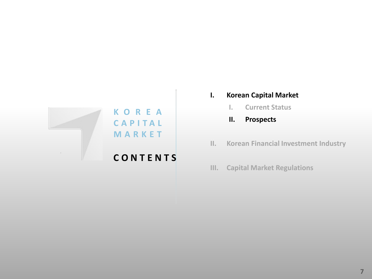

## **C O N T E N T S**

- **I. Korean Capital Market**
	- **I. Current Status**
	- **II. Prospects**
- **II. Korean Financial Investment Industry**
- **III. Capital Market Regulations**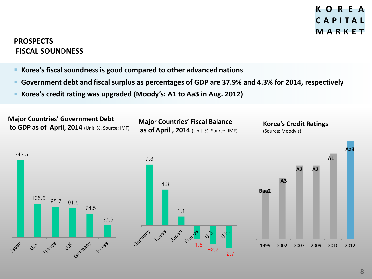#### **PROSPECTS FISCAL SOUNDNESS**

- **Korea's fiscal soundness is good compared to other advanced nations**
- **Government debt and fiscal surplus as percentages of GDP are 37.9% and 4.3% for 2014, respectively**
- **Korea's credit rating was upgraded (Moody's: A1 to Aa3 in Aug. 2012)**

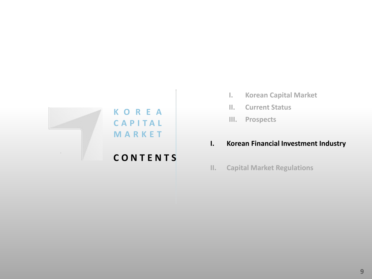

**C A P I T A L M A R K E T**

## **C O N T E N T S**

- **I. Korean Capital Market**
- **II. Current Status**
- **III. Prospects**

#### **I. Korean Financial Investment Industry**

**II. Capital Market Regulations**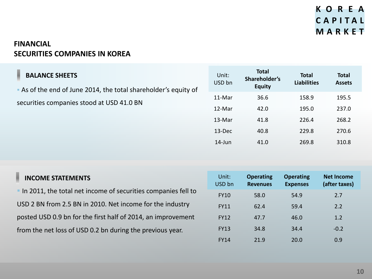## **FINANCIAL SECURITIES COMPANIES IN KOREA**

I

 As of the end of June 2014, the total shareholder's equity of securities companies stood at USD 41.0 BN

| Unit:<br>USD bn | <b>Total</b><br>Shareholder's<br><b>Equity</b> | <b>Total</b><br><b>Liabilities</b> | <b>Total</b><br><b>Assets</b> |
|-----------------|------------------------------------------------|------------------------------------|-------------------------------|
| 11-Mar          | 36.6                                           | 158.9                              | 195.5                         |
| 12-Mar          | 42.0                                           | 195.0                              | 237.0                         |
| 13-Mar          | 41.8                                           | 226.4                              | 268.2                         |
| 13-Dec          | 40.8                                           | 229.8                              | 270.6                         |
| $14$ -Jun       | 41.0                                           | 269.8                              | 310.8                         |

| <b>INCOME STATEMENTS</b>                                      | Unit:<br>USD bn | <b>Operating</b><br><b>Revenues</b> | <b>Operating</b><br><b>Expenses</b> | <b>Net Income</b><br>(after taxes) |
|---------------------------------------------------------------|-----------------|-------------------------------------|-------------------------------------|------------------------------------|
| In 2011, the total net income of securities companies fell to | <b>FY10</b>     | 58.0                                | 54.9                                | 2.7                                |
| USD 2 BN from 2.5 BN in 2010. Net income for the industry     | <b>FY11</b>     | 62.4                                | 59.4                                | 2.2                                |
| posted USD 0.9 bn for the first half of 2014, an improvement  | <b>FY12</b>     | 47.7                                | 46.0                                | 1.2                                |
| from the net loss of USD 0.2 bn during the previous year.     | <b>FY13</b>     | 34.8                                | 34.4                                | $-0.2$                             |
|                                                               | <b>FY14</b>     | 21.9                                | 20.0                                | 0.9                                |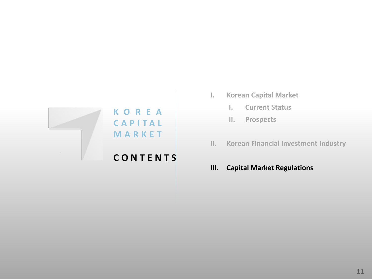

## **C O N T E N T S**

- **I. Korean Capital Market**
	- **I. Current Status**
	- **II. Prospects**
- **II. Korean Financial Investment Industry**
- **III. Capital Market Regulations**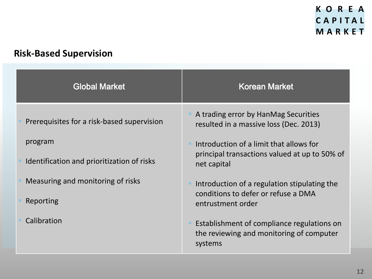## **Risk-Based Supervision**

| <b>Global Market</b>                       | Korean Market                                                                                     |
|--------------------------------------------|---------------------------------------------------------------------------------------------------|
| Prerequisites for a risk-based supervision | A trading error by HanMag Securities<br>resulted in a massive loss (Dec. 2013)                    |
| program                                    | Introduction of a limit that allows for                                                           |
| Identification and prioritization of risks | principal transactions valued at up to 50% of<br>net capital                                      |
| Measuring and monitoring of risks          | Introduction of a regulation stipulating the<br>conditions to defer or refuse a DMA               |
| Reporting                                  | entrustment order                                                                                 |
| Calibration                                | Establishment of compliance regulations on<br>the reviewing and monitoring of computer<br>systems |